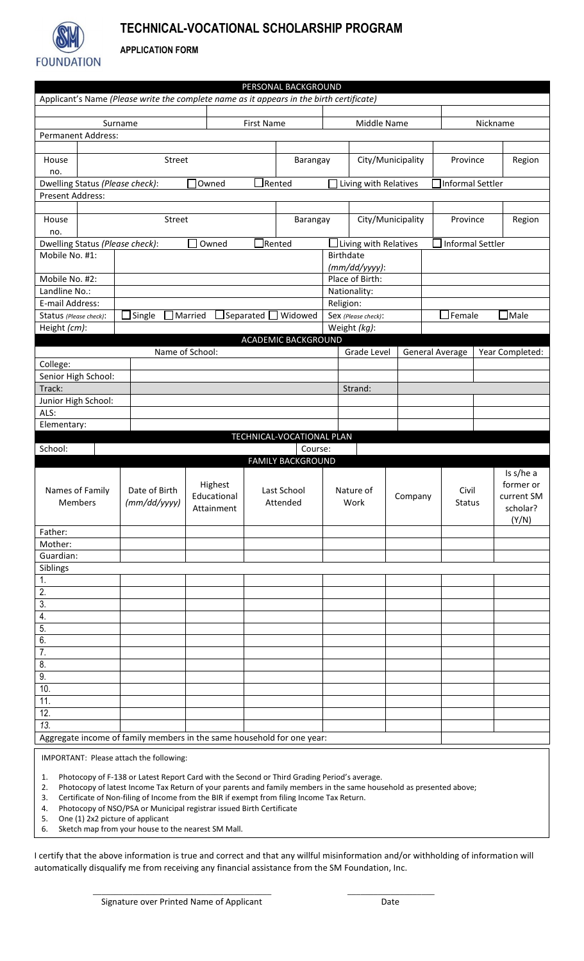

## **TECHNICAL-VOCATIONAL SCHOLARSHIP PROGRAM**

**APPLICATION FORM**

|                                                                        |                                 |                                                                                          |                 |                   | PERSONAL BACKGROUND        |                     |                               |                   |                                                               |                    |                        |  |
|------------------------------------------------------------------------|---------------------------------|------------------------------------------------------------------------------------------|-----------------|-------------------|----------------------------|---------------------|-------------------------------|-------------------|---------------------------------------------------------------|--------------------|------------------------|--|
|                                                                        |                                 | Applicant's Name (Please write the complete name as it appears in the birth certificate) |                 |                   |                            |                     |                               |                   |                                                               |                    |                        |  |
|                                                                        |                                 |                                                                                          |                 |                   |                            |                     |                               |                   |                                                               |                    |                        |  |
| Surname                                                                |                                 |                                                                                          |                 | <b>First Name</b> |                            | Middle Name         |                               |                   |                                                               | Nickname           |                        |  |
|                                                                        | <b>Permanent Address:</b>       |                                                                                          |                 |                   |                            |                     |                               |                   |                                                               |                    |                        |  |
| House<br><b>Street</b>                                                 |                                 |                                                                                          |                 | Barangay          |                            |                     | City/Municipality             |                   |                                                               | Province<br>Region |                        |  |
| no.                                                                    |                                 |                                                                                          |                 |                   |                            |                     |                               |                   |                                                               |                    |                        |  |
| Dwelling Status (Please check):                                        |                                 |                                                                                          | Owned           | Rented            |                            |                     | Living with Relatives         |                   |                                                               | Informal Settler   |                        |  |
| Present Address:                                                       |                                 |                                                                                          |                 |                   |                            |                     |                               |                   |                                                               |                    |                        |  |
|                                                                        |                                 |                                                                                          |                 |                   |                            |                     |                               |                   |                                                               |                    |                        |  |
| House                                                                  | Street                          |                                                                                          |                 |                   |                            | Barangay            |                               | City/Municipality |                                                               | Province           |                        |  |
| no.                                                                    | Dwelling Status (Please check): |                                                                                          |                 | $\Box$ Rented     |                            |                     | $\Box$ Living with Relatives  |                   |                                                               | Informal Settler   |                        |  |
|                                                                        |                                 |                                                                                          | Owned           |                   |                            |                     |                               |                   |                                                               |                    |                        |  |
| Mobile No. #1:                                                         |                                 |                                                                                          |                 |                   |                            |                     | Birthdate<br>$(mm/dd/yyyy)$ : |                   |                                                               |                    |                        |  |
| Mobile No. #2:                                                         |                                 |                                                                                          |                 |                   |                            |                     | Place of Birth:               |                   |                                                               |                    |                        |  |
| Landline No.:                                                          |                                 |                                                                                          |                 |                   |                            | Nationality:        |                               |                   |                                                               |                    |                        |  |
| E-mail Address:                                                        |                                 |                                                                                          |                 |                   |                            |                     | Religion:                     |                   |                                                               |                    |                        |  |
| Status (Please check):                                                 |                                 | Single<br>Married<br>Separated<br>Widowed<br>$\sim$                                      |                 |                   |                            | Sex (Please check): |                               |                   | Female<br>$\mathsf{\neg \sf \textsf{Male}}$<br>$\blacksquare$ |                    |                        |  |
| Height (cm):                                                           |                                 |                                                                                          |                 |                   |                            | Weight (kg):        |                               |                   |                                                               |                    |                        |  |
|                                                                        |                                 |                                                                                          |                 |                   | <b>ACADEMIC BACKGROUND</b> |                     |                               |                   |                                                               |                    |                        |  |
|                                                                        |                                 |                                                                                          | Name of School: |                   |                            |                     | Grade Level                   |                   | <b>General Average</b>                                        |                    | Year Completed:        |  |
| College:<br>Senior High School:                                        |                                 |                                                                                          |                 |                   |                            |                     |                               |                   |                                                               |                    |                        |  |
| Track:                                                                 |                                 |                                                                                          |                 |                   |                            |                     | Strand:                       |                   |                                                               |                    |                        |  |
|                                                                        | Junior High School:             |                                                                                          |                 |                   |                            |                     |                               |                   |                                                               |                    |                        |  |
| ALS:                                                                   |                                 |                                                                                          |                 |                   |                            |                     |                               |                   |                                                               |                    |                        |  |
| Elementary:                                                            |                                 |                                                                                          |                 |                   |                            |                     |                               |                   |                                                               |                    |                        |  |
| TECHNICAL-VOCATIONAL PLAN                                              |                                 |                                                                                          |                 |                   |                            |                     |                               |                   |                                                               |                    |                        |  |
| School:<br>Course:                                                     |                                 |                                                                                          |                 |                   |                            |                     |                               |                   |                                                               |                    |                        |  |
|                                                                        |                                 |                                                                                          |                 |                   | <b>FAMILY BACKGROUND</b>   |                     |                               |                   |                                                               |                    |                        |  |
| Names of Family<br>Members                                             |                                 |                                                                                          | Highest         |                   |                            | Nature of<br>Work   |                               |                   |                                                               |                    | Is s/he a<br>former or |  |
|                                                                        |                                 | Date of Birth                                                                            | Educational     |                   | Last School<br>Attended    |                     |                               | Company           | Civil                                                         |                    | current SM             |  |
|                                                                        |                                 | (mm/dd/yyyy)                                                                             | Attainment      |                   |                            |                     |                               |                   | Status                                                        |                    | scholar?               |  |
|                                                                        |                                 |                                                                                          |                 |                   |                            |                     |                               |                   |                                                               |                    |                        |  |
| Father:                                                                |                                 |                                                                                          |                 |                   |                            |                     |                               |                   |                                                               |                    |                        |  |
| Mother:                                                                |                                 |                                                                                          |                 |                   |                            |                     |                               |                   |                                                               |                    |                        |  |
| Guardian:                                                              |                                 |                                                                                          |                 |                   |                            |                     |                               |                   |                                                               |                    |                        |  |
| Siblings<br>1.                                                         |                                 |                                                                                          |                 |                   |                            |                     |                               |                   |                                                               |                    |                        |  |
| $\overline{2}$ .                                                       |                                 |                                                                                          |                 |                   |                            |                     |                               |                   |                                                               |                    |                        |  |
| 3.                                                                     |                                 |                                                                                          |                 |                   |                            |                     |                               |                   |                                                               |                    |                        |  |
| 4.                                                                     |                                 |                                                                                          |                 |                   |                            |                     |                               |                   |                                                               |                    |                        |  |
| 5.                                                                     |                                 |                                                                                          |                 |                   |                            |                     |                               |                   |                                                               |                    |                        |  |
| 6.                                                                     |                                 |                                                                                          |                 |                   |                            |                     |                               |                   |                                                               |                    |                        |  |
| 7.                                                                     |                                 |                                                                                          |                 |                   |                            |                     |                               |                   |                                                               |                    |                        |  |
| 8.                                                                     |                                 |                                                                                          |                 |                   |                            |                     |                               |                   |                                                               |                    |                        |  |
| 9.                                                                     |                                 |                                                                                          |                 |                   |                            |                     |                               |                   |                                                               |                    |                        |  |
| 10.<br>11.                                                             |                                 |                                                                                          |                 |                   |                            |                     |                               |                   |                                                               |                    |                        |  |
| $\overline{12}$ .                                                      |                                 |                                                                                          |                 |                   |                            |                     |                               |                   |                                                               |                    |                        |  |
| $\overline{13}$ .                                                      |                                 |                                                                                          |                 |                   |                            |                     |                               |                   |                                                               |                    |                        |  |
| Aggregate income of family members in the same household for one year: |                                 |                                                                                          |                 |                   |                            |                     |                               |                   |                                                               |                    |                        |  |
|                                                                        |                                 |                                                                                          |                 |                   |                            |                     |                               |                   |                                                               |                    |                        |  |

IMPORTANT: Please attach the following:

1. Photocopy of F-138 or Latest Report Card with the Second or Third Grading Period's average.

2. Photocopy of latest Income Tax Return of your parents and family members in the same household as presented above;<br>3. Certificate of Non-filing of Income from the BIR if exempt from filing Income Tax Return.

 $\frac{1}{2}$  ,  $\frac{1}{2}$  ,  $\frac{1}{2}$  ,  $\frac{1}{2}$  ,  $\frac{1}{2}$  ,  $\frac{1}{2}$  ,  $\frac{1}{2}$  ,  $\frac{1}{2}$  ,  $\frac{1}{2}$  ,  $\frac{1}{2}$  ,  $\frac{1}{2}$  ,  $\frac{1}{2}$  ,  $\frac{1}{2}$  ,  $\frac{1}{2}$  ,  $\frac{1}{2}$  ,  $\frac{1}{2}$  ,  $\frac{1}{2}$  ,  $\frac{1}{2}$  ,  $\frac{1$ 

3. Certificate of Non-filing of Income from the BIR if exempt from filing Income Tax Return.

4. Photocopy of NSO/PSA or Municipal registrar issued Birth Certificate

5. One (1) 2x2 picture of applicant<br>6. Sketch map from your house to Sketch map from your house to the nearest SM Mall.

I certify that the above information is true and correct and that any willful misinformation and/or withholding of information will automatically disqualify me from receiving any financial assistance from the SM Foundation, Inc.